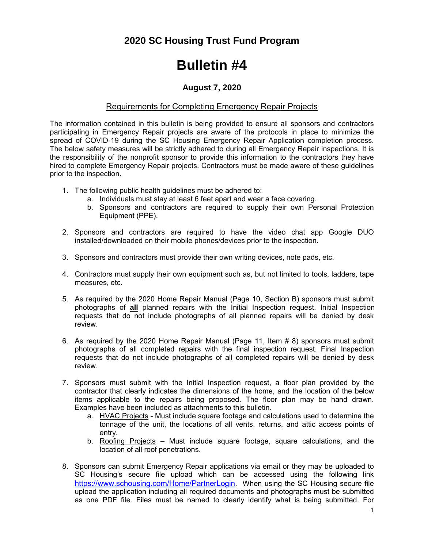## **2020 SC Housing Trust Fund Program**

## **Bulletin #4**

## **August 7, 2020**

## Requirements for Completing Emergency Repair Projects

The information contained in this bulletin is being provided to ensure all sponsors and contractors participating in Emergency Repair projects are aware of the protocols in place to minimize the spread of COVID-19 during the SC Housing Emergency Repair Application completion process. The below safety measures will be strictly adhered to during all Emergency Repair inspections. It is the responsibility of the nonprofit sponsor to provide this information to the contractors they have hired to complete Emergency Repair projects. Contractors must be made aware of these guidelines prior to the inspection.

- 1. The following public health guidelines must be adhered to:
	- a. Individuals must stay at least 6 feet apart and wear a face covering.
	- b. Sponsors and contractors are required to supply their own Personal Protection Equipment (PPE).
- 2. Sponsors and contractors are required to have the video chat app Google DUO installed/downloaded on their mobile phones/devices prior to the inspection.
- 3. Sponsors and contractors must provide their own writing devices, note pads, etc.
- 4. Contractors must supply their own equipment such as, but not limited to tools, ladders, tape measures, etc.
- 5. As required by the 2020 Home Repair Manual (Page 10, Section B) sponsors must submit photographs of **all** planned repairs with the Initial Inspection request. Initial Inspection requests that do not include photographs of all planned repairs will be denied by desk review.
- 6. As required by the 2020 Home Repair Manual (Page 11, Item # 8) sponsors must submit photographs of all completed repairs with the final inspection request. Final Inspection requests that do not include photographs of all completed repairs will be denied by desk review.
- 7. Sponsors must submit with the Initial Inspection request, a floor plan provided by the contractor that clearly indicates the dimensions of the home, and the location of the below items applicable to the repairs being proposed. The floor plan may be hand drawn. Examples have been included as attachments to this bulletin.
	- a. HVAC Projects Must include square footage and calculations used to determine the tonnage of the unit, the locations of all vents, returns, and attic access points of entry.
	- b. Roofing Projects Must include square footage, square calculations, and the location of all roof penetrations.
- 8. Sponsors can submit Emergency Repair applications via email or they may be uploaded to SC Housing's secure file upload which can be accessed using the following link [https://www.schousing.com/Home/PartnerLogin.](https://www.schousing.com/Home/PartnerLogin) When using the SC Housing secure file upload the application including all required documents and photographs must be submitted as one PDF file. Files must be named to clearly identify what is being submitted. For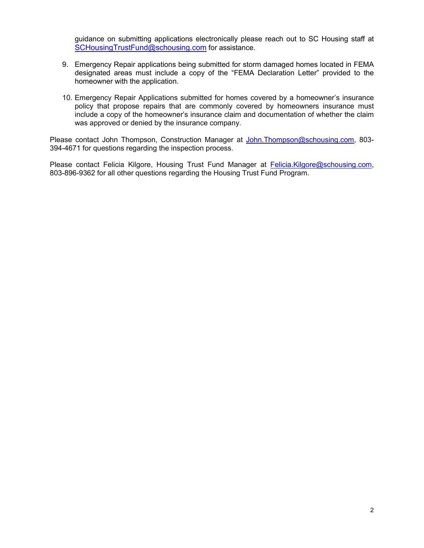guidance on submitting applications electronically please reach out to [SC Housing staff](mailto:SCHousingTrustFund@schousing.com) at [SCHousingTrustFund@schousing.com](mailto:SCHousingTrustFund@schousing.com) for assistance.

- 9. Emergency Repair applications being submitted for storm damaged homes located in FEMA designated areas must include a copy of the "FEMA Declaration Letter" provided to the homeowner with the application.
- 10. Emergency Repair Applications submitted for homes covered by a homeowner's insurance policy that propose repairs that are commonly covered by homeowners insurance must include a copy of the homeowner's insurance claim and documentation of whether the claim was approved or denied by the insurance company.

Please contact John Thompson, Construction Manager at John. Thompson@schousing.com, 803-394-4671 for questions regarding the inspection process.

Please contact Felicia Kilgore, Housing Trust Fund Manager at [Felicia.Kilgore@schousing.com,](mailto:Felicia.Kilgore@schousing.com) 803-896-9362 for all other questions regarding the Housing Trust Fund Program.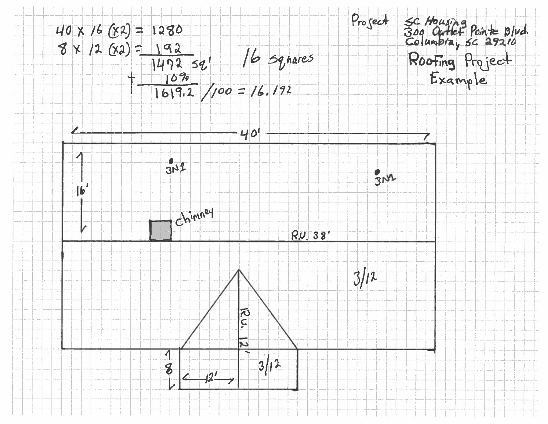